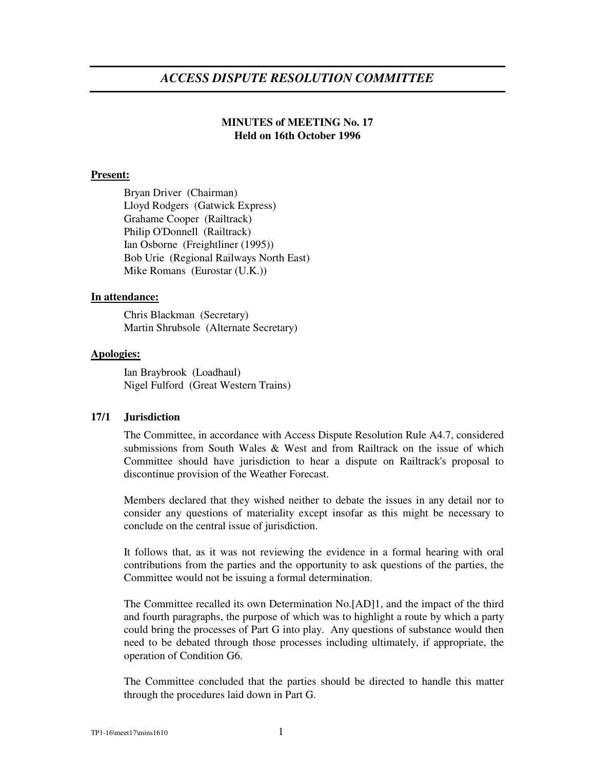# *ACCESS DISPUTE RESOLUTION COMMITTEE*

## **MINUTES of MEETING No. 17 Held on 16th October 1996**

#### **Present:**

Bryan Driver (Chairman) Lloyd Rodgers (Gatwick Express) Grahame Cooper (Railtrack) Philip O'Donnell (Railtrack) Ian Osborne (Freightliner (1995)) Bob Urie (Regional Railways North East) Mike Romans (Eurostar (U.K.))

### **In attendance:**

Chris Blackman (Secretary) Martin Shrubsole (Alternate Secretary)

#### **Apologies:**

Ian Braybrook (Loadhaul) Nigel Fulford (Great Western Trains)

### **17/1 Jurisdiction**

The Committee, in accordance with Access Dispute Resolution Rule A4.7, considered submissions from South Wales & West and from Railtrack on the issue of which Committee should have jurisdiction to hear a dispute on Railtrack's proposal to discontinue provision of the Weather Forecast.

Members declared that they wished neither to debate the issues in any detail nor to consider any questions of materiality except insofar as this might be necessary to conclude on the central issue of jurisdiction.

It follows that, as it was not reviewing the evidence in a formal hearing with oral contributions from the parties and the opportunity to ask questions of the parties, the Committee would not be issuing a formal determination.

The Committee recalled its own Determination No.[AD]1, and the impact of the third and fourth paragraphs, the purpose of which was to highlight a route by which a party could bring the processes of Part G into play. Any questions of substance would then need to be debated through those processes including ultimately, if appropriate, the operation of Condition G6.

The Committee concluded that the parties should be directed to handle this matter through the procedures laid down in Part G.